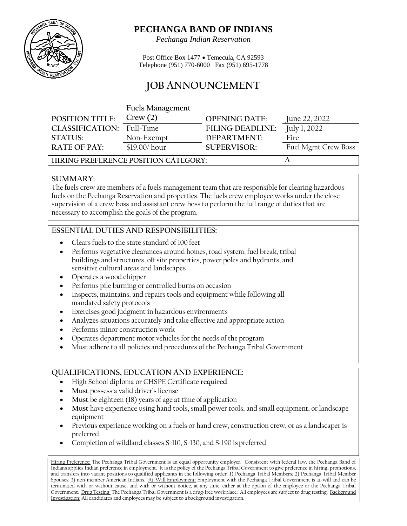

## **PECHANGA BAND OF INDIANS**

*Pechanga Indian Reservation*

Post Office Box 1477 • Temecula, CA 92593 Telephone (951) 770-6000 Fax (951) 695-1778

# **JOB ANNOUNCEMENT**

**Fuels Management** 

| <b>POSITION TITLE:</b>               | Crew(2)       | <b>OPENING DATE:</b>    | June 22, 2022       |
|--------------------------------------|---------------|-------------------------|---------------------|
| CLASSIFICATION: Full-Time            |               | <b>FILING DEADLINE:</b> | July 1, 2022        |
| <b>STATUS:</b>                       | Non-Exempt    | DEPARTMENT:             | Fire                |
| <b>RATE OF PAY:</b>                  | \$19.00/ hour | $SI$ JPFR VISOR:        | Fuel Mgmt Crew Boss |
| HIRING PREFERENCE POSITION CATEGORY: |               |                         |                     |

## **SUMMARY:**

The fuels crew are members of a fuels management team that are responsible for clearing hazardous fuels on the Pechanga Reservation and properties. The fuels crew employee works under the close supervision of a crew boss and assistant crew boss to perform the full range of duties that are necessary to accomplish the goals of the program.

## **ESSENTIAL DUTIES AND RESPONSIBILITIES:**

- Clears fuels to the state standard of 100 feet
- Performs vegetative clearances around homes, road system, fuel break, tribal buildings and structures, off site properties, power poles and hydrants, and sensitive cultural areas and landscapes
- Operates a wood chipper
- Performs pile burning or controlled burns on occasion
- Inspects, maintains, and repairs tools and equipment while following all mandated safety protocols
- Exercises good judgment in hazardous environments
- Analyzes situations accurately and take effective and appropriate action
- Performs minor construction work
- Operates department motor vehicles for the needs of the program
- Must adhere to all policies and procedures of the Pechanga Tribal Government

### **QUALIFICATIONS, EDUCATION AND EXPERIENCE:**

- High School diploma or CHSPE Certificate **required**
- Must possess a valid driver's license
- **Must** be eighteen (18) years of age at time of application
- **Must** have experience using hand tools, small power tools, and small equipment, or landscape equipment
- Previous experience working on a fuels or hand crew, construction crew, or as a landscaper is preferred
- Completion of wildland classes S-110, S-130, and S-190 is preferred

Hiring Preference: The Pechanga Tribal Government is an equal opportunity employer. Consistent with federal law, the Pechanga Band of Indians applies Indian preference in employment. It is the policy of the Pechanga Tribal Government to give preference in hiring, promotions, and transfers into vacant positions to qualified applicants in the following order: 1) Pechanga Tribal Members; 2) Pechanga Tribal Member Spouses; 3) non-member American Indians. At-Will Employment: Employment with the Pechanga Tribal Government is at-will and can be terminated with or without cause, and with or without notice, at any time, either at the option of the employee or the Pechanga Tribal Government. Drug Testing: The Pechanga Tribal Government is a drug-free workplace. All employees are subject to drug testing. Background Investigation: All candidates and employees may be subject to a background investigation.